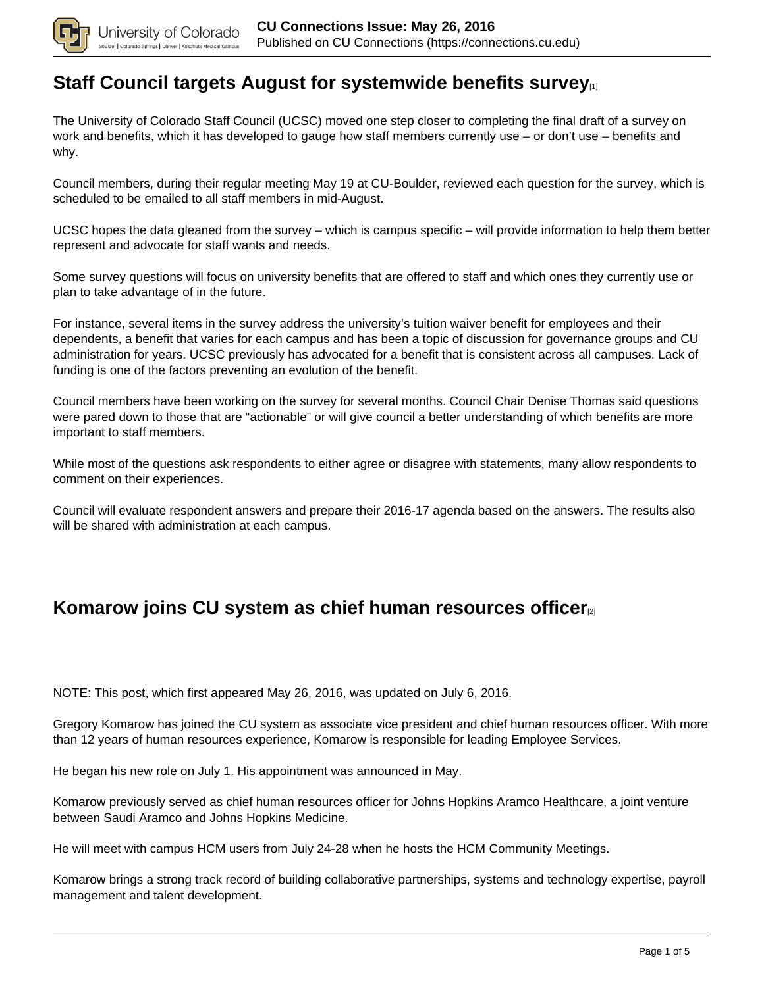

#### **[Staff Council targets August for systemwide benefits survey](https://connections.cu.edu/stories/staff-council-targets-august-systemwide-benefits-survey)**

The University of Colorado Staff Council (UCSC) moved one step closer to completing the final draft of a survey on work and benefits, which it has developed to gauge how staff members currently use – or don't use – benefits and why.

Council members, during their regular meeting May 19 at CU-Boulder, reviewed each question for the survey, which is scheduled to be emailed to all staff members in mid-August.

UCSC hopes the data gleaned from the survey – which is campus specific – will provide information to help them better represent and advocate for staff wants and needs.

Some survey questions will focus on university benefits that are offered to staff and which ones they currently use or plan to take advantage of in the future.

For instance, several items in the survey address the university's tuition waiver benefit for employees and their dependents, a benefit that varies for each campus and has been a topic of discussion for governance groups and CU administration for years. UCSC previously has advocated for a benefit that is consistent across all campuses. Lack of funding is one of the factors preventing an evolution of the benefit.

Council members have been working on the survey for several months. Council Chair Denise Thomas said questions were pared down to those that are "actionable" or will give council a better understanding of which benefits are more important to staff members.

While most of the questions ask respondents to either agree or disagree with statements, many allow respondents to comment on their experiences.

Council will evaluate respondent answers and prepare their 2016-17 agenda based on the answers. The results also will be shared with administration at each campus.

### **Komarow joins CU system as chief human resources officer**[2]

NOTE: This post, which first appeared May 26, 2016, was updated on July 6, 2016.

Gregory Komarow has joined the CU system as associate vice president and chief human resources officer. With more than 12 years of human resources experience, Komarow is responsible for leading Employee Services.

He began his new role on July 1. His appointment was announced in May.

Komarow previously served as chief human resources officer for Johns Hopkins Aramco Healthcare, a joint venture between Saudi Aramco and Johns Hopkins Medicine.

He will meet with campus HCM users from July 24-28 when he hosts the HCM Community Meetings.

Komarow brings a strong track record of building collaborative partnerships, systems and technology expertise, payroll management and talent development.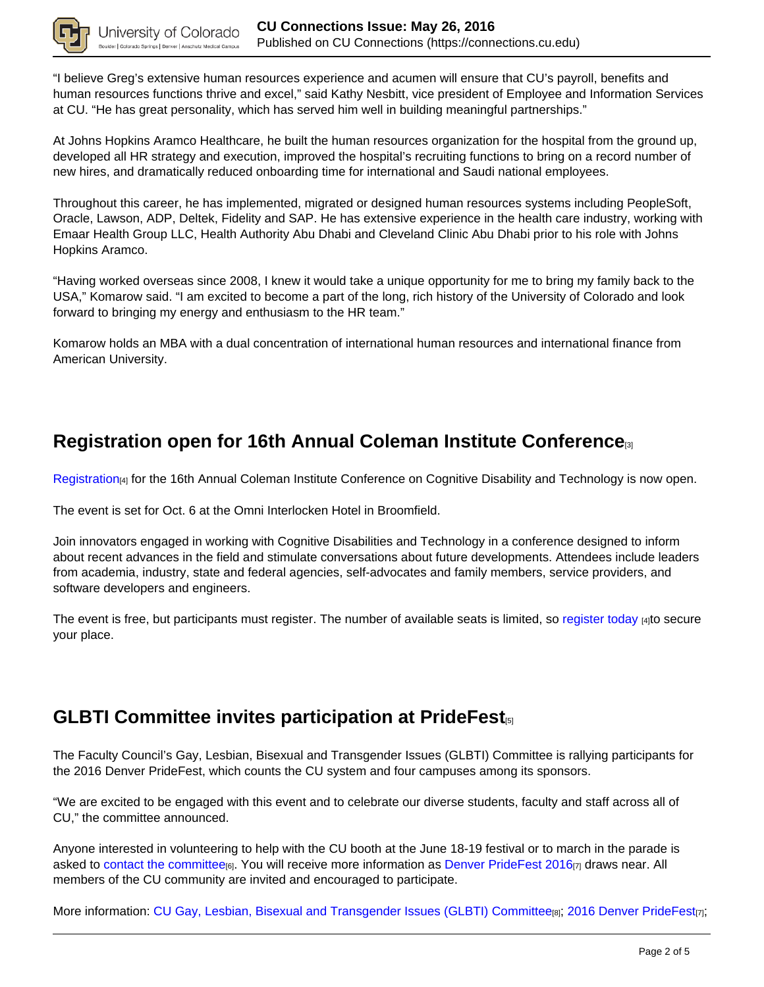

"I believe Greg's extensive human resources experience and acumen will ensure that CU's payroll, benefits and human resources functions thrive and excel," said Kathy Nesbitt, vice president of Employee and Information Services at CU. "He has great personality, which has served him well in building meaningful partnerships."

At Johns Hopkins Aramco Healthcare, he built the human resources organization for the hospital from the ground up, developed all HR strategy and execution, improved the hospital's recruiting functions to bring on a record number of new hires, and dramatically reduced onboarding time for international and Saudi national employees.

Throughout this career, he has implemented, migrated or designed human resources systems including PeopleSoft, Oracle, Lawson, ADP, Deltek, Fidelity and SAP. He has extensive experience in the health care industry, working with Emaar Health Group LLC, Health Authority Abu Dhabi and Cleveland Clinic Abu Dhabi prior to his role with Johns Hopkins Aramco.

"Having worked overseas since 2008, I knew it would take a unique opportunity for me to bring my family back to the USA," Komarow said. "I am excited to become a part of the long, rich history of the University of Colorado and look forward to bringing my energy and enthusiasm to the HR team."

Komarow holds an MBA with a dual concentration of international human resources and international finance from American University.

## **Registration open for 16th Annual Coleman Institute Conference**[3]

Registration<sub>[4]</sub> for the 16th Annual Coleman Institute Conference on Cognitive Disability and Technology is now open.

The event is set for Oct. 6 at the Omni Interlocken Hotel in Broomfield.

Join innovators engaged in working with Cognitive Disabilities and Technology in a conference designed to inform about recent advances in the field and stimulate conversations about future developments. Attendees include leaders from academia, industry, state and federal agencies, self-advocates and family members, service providers, and software developers and engineers.

The event is free, but participants must register. The number of available seats is limited, so register today  $\mu_1$ to secure your place.

### **GLBTI Committee invites participation at PrideFest**[5]

The Faculty Council's Gay, Lesbian, Bisexual and Transgender Issues (GLBTI) Committee is rallying participants for the 2016 Denver PrideFest, which counts the CU system and four campuses among its sponsors.

"We are excited to be engaged with this event and to celebrate our diverse students, faculty and staff across all of CU," the committee announced.

Anyone interested in volunteering to help with the CU booth at the June 18-19 festival or to march in the parade is asked to contact the committee<sub>[6]</sub>. You will receive more information as Denver PrideFest 2016 $q_7$  draws near. All members of the CU community are invited and encouraged to participate.

More information: CU Gay, Lesbian, Bisexual and Transgender Issues (GLBTI) Committee[8]; 2016 Denver PrideFest[7];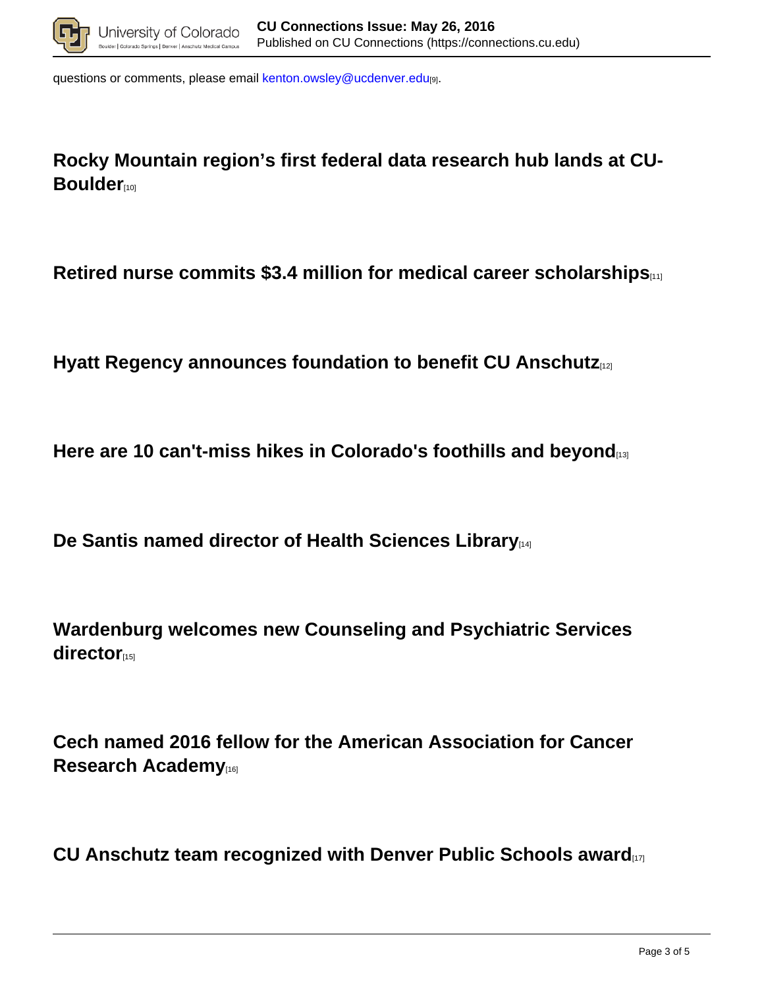

questions or comments, please email kenton.owsley@ucdenver.edu[9].

**Rocky Mountain region's first federal data research hub lands at CU-Boulder**<sub>[10]</sub>

**Retired nurse commits \$3.4 million for medical career scholarships**[11]

**Hyatt Regency announces foundation to benefit CU Anschutz**[12]

**Here are 10 can't-miss hikes in Colorado's foothills and beyond**[13]

**De Santis named director of Health Sciences Library**[14]

**Wardenburg welcomes new Counseling and Psychiatric Services** director<sub>[15]</sub>

**Cech named 2016 fellow for the American Association for Cancer Research Academy**[16]

**CU Anschutz team recognized with Denver Public Schools award**[17]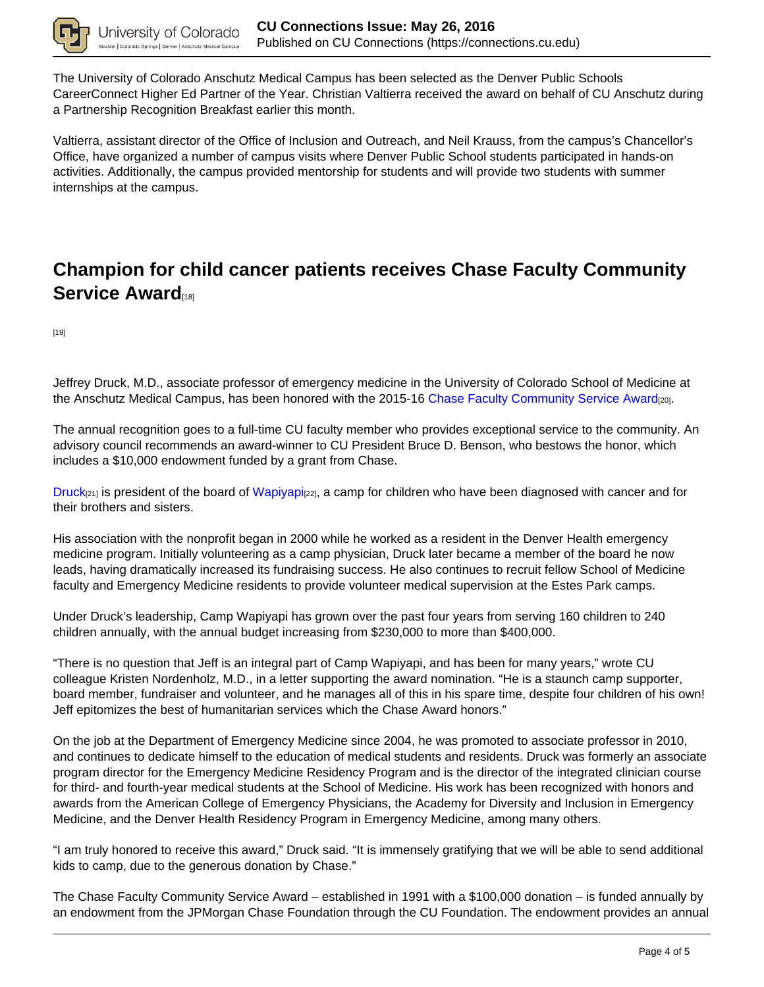

The University of Colorado Anschutz Medical Campus has been selected as the Denver Public Schools CareerConnect Higher Ed Partner of the Year. Christian Valtierra received the award on behalf of CU Anschutz during a Partnership Recognition Breakfast earlier this month.

Valtierra, assistant director of the Office of Inclusion and Outreach, and Neil Krauss, from the campus's Chancellor's Office, have organized a number of campus visits where Denver Public School students participated in hands-on activities. Additionally, the campus provided mentorship for students and will provide two students with summer internships at the campus.

# **Champion for child cancer patients receives Chase Faculty Community Service Award**

[19]

Jeffrey Druck, M.D., associate professor of emergency medicine in the University of Colorado School of Medicine at the Anschutz Medical Campus, has been honored with the 2015-16 Chase Faculty Community Service Award[20].

The annual recognition goes to a full-time CU faculty member who provides exceptional service to the community. An advisory council recommends an award-winner to CU President Bruce D. Benson, who bestows the honor, which includes a \$10,000 endowment funded by a grant from Chase.

 $Druck<sub>[21]</sub>$  is president of the board of Wapiyapi $_{[22]}$ , a camp for children who have been diagnosed with cancer and for their brothers and sisters.

His association with the nonprofit began in 2000 while he worked as a resident in the Denver Health emergency medicine program. Initially volunteering as a camp physician, Druck later became a member of the board he now leads, having dramatically increased its fundraising success. He also continues to recruit fellow School of Medicine faculty and Emergency Medicine residents to provide volunteer medical supervision at the Estes Park camps.

Under Druck's leadership, Camp Wapiyapi has grown over the past four years from serving 160 children to 240 children annually, with the annual budget increasing from \$230,000 to more than \$400,000.

"There is no question that Jeff is an integral part of Camp Wapiyapi, and has been for many years," wrote CU colleague Kristen Nordenholz, M.D., in a letter supporting the award nomination. "He is a staunch camp supporter, board member, fundraiser and volunteer, and he manages all of this in his spare time, despite four children of his own! Jeff epitomizes the best of humanitarian services which the Chase Award honors."

On the job at the Department of Emergency Medicine since 2004, he was promoted to associate professor in 2010, and continues to dedicate himself to the education of medical students and residents. Druck was formerly an associate program director for the Emergency Medicine Residency Program and is the director of the integrated clinician course for third- and fourth-year medical students at the School of Medicine. His work has been recognized with honors and awards from the American College of Emergency Physicians, the Academy for Diversity and Inclusion in Emergency Medicine, and the Denver Health Residency Program in Emergency Medicine, among many others.

"I am truly honored to receive this award," Druck said. "It is immensely gratifying that we will be able to send additional kids to camp, due to the generous donation by Chase."

The Chase Faculty Community Service Award – established in 1991 with a \$100,000 donation – is funded annually by an endowment from the JPMorgan Chase Foundation through the CU Foundation. The endowment provides an annual